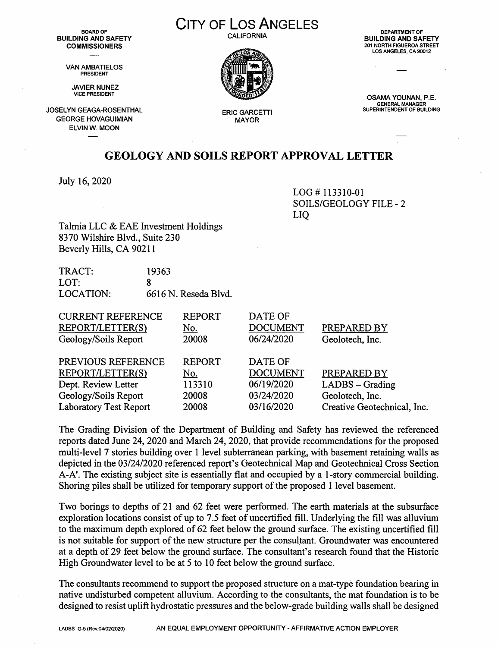**BUILDING AND SAFETY COMMISSIONERS** 

> VAN AMBATIELOS **PRESIDENT**

JAVIER NUNEZ VICE PRESIDENT

JOSELYN GEAGA-ROSENTHAL GEORGE HOVAGUIMIAN ELVINW. MOON

**CITY OF LOS ANGELES** 

**CALIFORNIA** 



**ERIC GARCETTI MAYOR** 

**DEPARTMENT OF BUILDING AND SAFETY**  201 NORTH FIGUEROA STREET LOS ANGELES, CA 90012

**OSAMA YOUNAN,** P.E. **GENERAL MANAGER SUPERINTENDENT OF BUILDING** 

## **GEOLOGY AND SOILS REPORT APPROVAL LETTER**

July 16, 2020

LOG# 113310-01 SOILS/GEOLOGY FILE - 2 LIQ

Talmia LLC & EAE Investment Holdings 8370 Wilshire Blvd., Suite 230. Beverly Hills, CA 90211

| TRACT:    | 19363                |
|-----------|----------------------|
| LOT:      |                      |
| LOCATION: | 6616 N. Reseda Blvd. |

| <b>REPORT</b> | DATE OF         |                             |
|---------------|-----------------|-----------------------------|
| <u>No.</u>    | <b>DOCUMENT</b> | PREPARED BY                 |
| 20008         | 06/24/2020      | Geolotech, Inc.             |
| <b>REPORT</b> | DATE OF         |                             |
| <u>No.</u>    | <b>DOCUMENT</b> | PREPARED BY                 |
| 113310        | 06/19/2020      | LADBS - Grading             |
| 20008         | 03/24/2020      | Geolotech, Inc.             |
| 20008         | 03/16/2020      | Creative Geotechnical, Inc. |
|               |                 |                             |

The Grading Division of the Department of Building and Safety has reviewed the referenced reports dated June 24, 2020 and March 24, 2020, that provide recommendations for the proposed multi-level 7 stories building over 1 level subterranean parking, with basement retaining walls as depicted in the 03/24/2020 referenced report's Geotechnical Map and Geotechnical Cross Section A-A'. The existing subject site is essentially flat and occupied by a I-story commercial building. Shoring piles shall be utilized for temporary support of the proposed 1 level basement.

Two borings to depths of 21 and 62 feet were performed. The earth materials at the subsurface exploration locations consist of up to 7.5 feet of uncertified fill. Underlying the fill was alluvium to the maximum depth explored of 62 feet below the ground surface. The existing uncertified fill is not suitable for support of the new structure per the consultant. Groundwater was encountered at a depth of 29 feet below the ground surface. The consultant's research found that the Historic High Groundwater level to be at 5 to 10 feet below the ground surface.

The consultants recommend to support the proposed structure on a mat-type foundation bearing in native undisturbed competent alluvium. According to the consultants, the mat foundation is to be designed to resist uplift hydrostatic pressures and the below-grade building walls shall be designed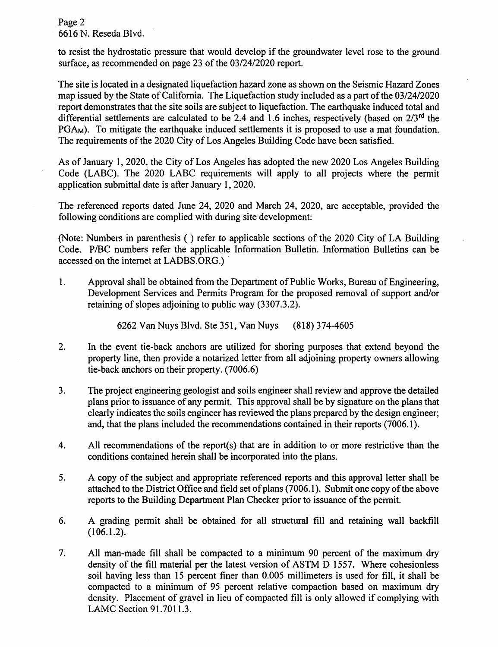Page 2 6616 N. Reseda Blvd.

to resist the hydrostatic pressure that would develop if the groundwater level rose to the ground surface, as recommended on page 23 of the 03/24/2020 report.

The site is located in a designated liquefaction hazard zone as shown on the Seismic Hazard Zones map issued by the State of California. The Liquefaction study included as a part of the 03/24/2020 report demonstrates that the site soils are subject to liquefaction. The earthquake induced total and differential settlements are calculated to be 2.4 and 1.6 inches, respectively (based on  $2/3^{rd}$  the PGA<sub>M</sub>). To mitigate the earthquake induced settlements it is proposed to use a mat foundation. The requirements of the 2020 City of Los Angeles Building Code have been satisfied.

As of January I, 2020, the City of Los Angeles has adopted the new 2020 Los Angeles Building Code (LABC). The 2020 LABC requirements will apply to all projects where the permit application submittal date is after January 1, 2020.

The referenced reports dated June 24, 2020 and March 24, 2020, are acceptable, provided the following conditions are complied with during site development:

(Note: Numbers in parenthesis ( ) refer to applicable sections of the 2020 City of LA Building Code. P/BC numbers refer the applicable Information Bulletin. Information Bulletins can be accessed on the internet at LADBS.ORG.

1. Approval shall be obtained from the Department of Public Works, Bureau of Engineering, Development Services and Permits Program for the proposed removal of support and/or retaining of slopes adjoining to public way (3307.3.2).

6262 Van Nuys Blvd. Ste 351, Van Nuys (818) 374-4605

- 2. In the event tie-back anchors are utilized for shoring purposes that extend beyond the property line, then provide a notarized letter from all adjoining property owners allowing tie-back anchors on their property. (7006.6)
- 3. The project engineering geologist and soils engineer shall review and approve the detailed plans prior to issuance of any permit. This approval shall be by signature on the plans that clearly indicates the soils engineer has reviewed the plans prepared by the design engineer; and, that the plans included the recommendations contained in their reports (7006.1 ).
- 4. All recommendations of the report(s) that are in addition to or more restrictive than the conditions contained herein shall be incorporated into the plans.
- 5. A copy of the subject and appropriate referenced reports and this approval letter shall be attached to the District Office and field set of plans (7006.1). Submit one copy of the above reports to the Building Department Plan Checker prior to issuance of the permit.
- 6. A grading permit shall be obtained for all structural fill and retaining wall backfill (106.1.2).
- 7. All man-made fill shall be compacted to a minimum 90 percent of the maximum dry density of the fill material per the latest version of ASTM D 1557. Where cohesionless soil having less than 15 percent finer than 0.005 millimeters is used for fill, it shall be compacted to a minimum of 95 percent relative compaction based on maximum dry density. Placement of gravel in lieu of compacted fill is only allowed if complying with LAMC Section 91.7011.3.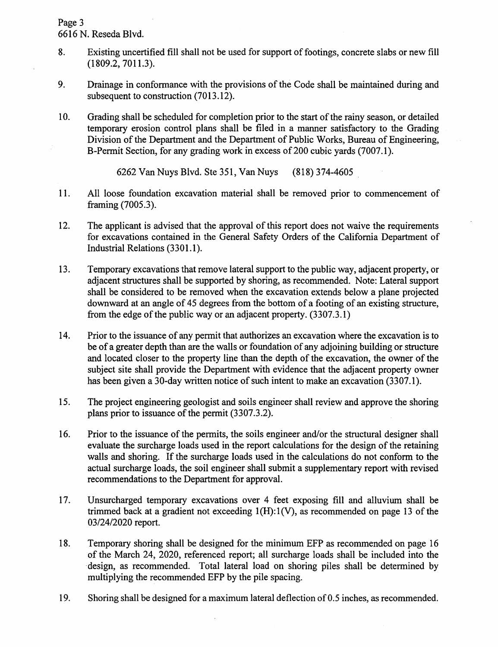Page 3 6616 N. Reseda Blvd.

- 8. Existing uncertified fill shall not be used for support of footings, concrete slabs or new fill (1809.2, 7011.3).
- 9. Drainage in conformance with the provisions of the Code shall be maintained during and subsequent to construction (7013.12).
- 10. Grading shall be scheduled for completion prior to the start of the rainy season, or detailed temporary erosion control plans shall be filed in a manner satisfactory to the Grading Division of the Department and the Department of Public Works, Bureau of Engineering, B-Permit Section, for any grading work in excess of 200 cubic yards (7007.1).

6262 Van Nuys Blvd. Ste 351, Van Nuys (818) 374-4605 .

- 11. All loose foundation excavation material shall be removed prior to commencement of framing (7005.3).
- 12. The applicant is advised that the approval of this report does not waive the requirements for excavations contained in the General Safety Orders of the California Department of Industrial Relations (3301.1).
- 13. Temporary excavations that remove lateral support to the public way, adjacent property, or adjacent structures shall be supported by shoring, as recommended. Note: Lateral support shall be considered to be removed when the excavation extends below a plane projected downward at an angle of 45 degrees from the bottom of a footing of an existing structure, from the edge of the public way or an adjacent property. (3307.3.1)
- 14. Prior to the issuance of any permit that authorizes an excavation where the excavation is to be of a greater depth than are the walls or foundation of any adjoining building or structure and located closer to the property line than the depth of the excavation, the owner of the subject site shall provide the Department with evidence that the adjacent property owner has been given a 30-day written notice of such intent to make an excavation (3307.1).
- 15. The project engineering geologist and soils engineer shall review and approve the shoring plans prior to issuance of the permit (3307.3.2).
- 16. Prior to the issuance of the permits, the soils engineer and/or the structural designer shall evaluate the surcharge loads used in the report calculations for the design of the retaining walls and shoring. If the surcharge loads used in the calculations do not conform to the actual surcharge loads, the soil engineer shall submit a supplementary report with revised recommendations to the Department for approval.
- 17. Unsurcharged temporary excavations over 4 feet exposing fill and alluvium shall be trimmed back at a gradient not exceeding l(H):l(V), as recommended on page 13 of the 03/24/2020 report.
- 18. Temporary shoring shall be designed for the minimum EFP as recommended on page 16 of the March 24, 2020, referenced report; all surcharge loads shall be included into the ·design, as recommended. Total lateral load on shoring piles shall be determined by multiplying the recommended EFP by the pile spacing.
- 19. Shoring shall be designed for a maximum lateral deflection of 0.5 inches, as recommended.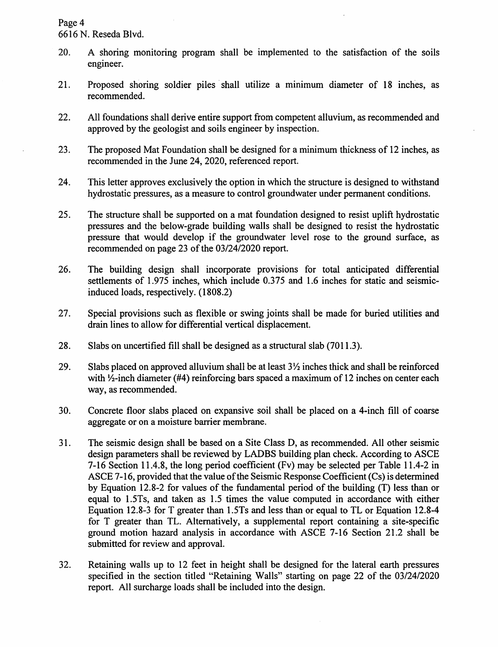Page 4

6616 N. Reseda Blvd.

- 20. A shoring monitoring program shall be implemented to the satisfaction of the soils engineer.
- 21. Proposed shoring soldier piles shall utilize a minimum diameter of 18 inches, as recommended.
- 22. All foundations shall derive entire support from competent alluvium, as recommended and approved by the geologist and soils engineer by inspection.
- 23. The proposed Mat Foundation shall be designed for a minimum thickness of 12 inches, as recommended in the June 24, 2020, referenced report.
- 24. This letter approves exclusively the option in which the structure is designed to withstand hydrostatic pressures, as a measure to control groundwater under permanent conditions.
- 25. The structure shall be supported on a mat foundation designed to resist uplift hydrostatic pressures and the below-grade building walls shall be designed to resist the hydrostatic pressure that would develop if the groundwater level rose to the ground surface, as recommended on page 23 of the 03/24/2020 report.
- 26. The building design shall incorporate provisions for total anticipated differential settlements of 1.975 inches, which include 0.375 and 1.6 inches for static and seismicinduced loads, respectively. (1808.2)
- 27. Special provisions such as flexible or swing joints shall be made for buried utilities and drain lines to allow for differential vertical displacement.
- 28. Slabs on uncertified fill shall be designed as a structural slab (7011.3).
- 29. Slabs placed on approved alluvium shall be at least  $3\frac{1}{2}$  inches thick and shall be reinforced with  $\frac{1}{2}$ -inch diameter (#4) reinforcing bars spaced a maximum of 12 inches on center each way, as recommended.
- 30. Concrete floor slabs placed on expansive soil shall be placed on a 4-inch fill of coarse aggregate or on a moisture barrier membrane.
- 31. The seismic design shall be based on a Site Class D, as recommended. All other seismic design parameters shall be reviewed by LADBS building plan check. According to ASCE 7-16 Section 11.4.8, the long period coefficient (Fv) may be selected per Table 11.4-2 in ASCE 7-16, provided that the value of the Seismic Response Coefficient (Cs) is determined by Equation 12.8-2 for values of the fundamental period of the building (T) less than or equal to l .5Ts, and taken as 1.5 times the value computed in accordance with either Equation 12.8-3 for T greater than l .5Ts and less than or equal to TL or Equation 12.8-4 for T greater than TL. Alternatively, a supplemental report containing a site-specific ground motion hazard analysis in accordance with ASCE 7-16 Section 21.2 shall be submitted for review and approval.
- 32. Retaining walls up to 12 feet in height shall be designed for the lateral earth pressures specified in the section titled "Retaining Walls" starting on page 22 of the 03/24/2020 report. All surcharge loads shall be included into the design.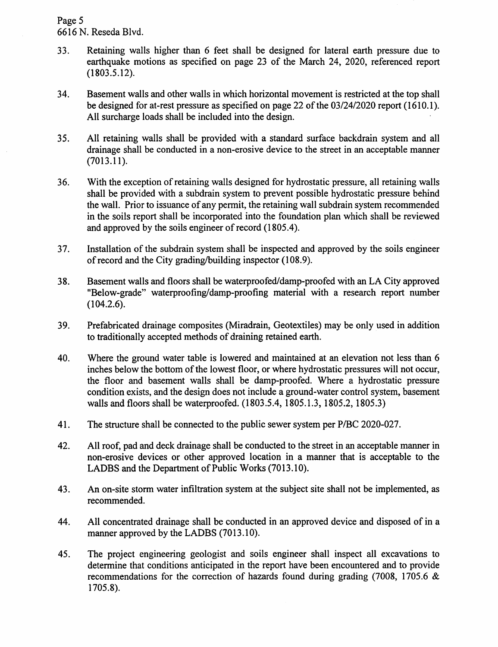## Page 5 6616 N. Reseda Blvd.

- 33. Retaining walls higher than 6 feet shall be designed for lateral earth pressure due to earthquake motions as specified on page 23 of the March 24, 2020, referenced report (1803.5.12).
- 34. Basement walls and other walls in which horizontal movement is restricted at the top shall be designed for at-rest pressure as specified on page 22 of the 03/24/2020 report (1610.1). All surcharge loads shall be included into the design.
- 35. All retaining walls shall be provided with a standard surface backdrain system and all drainage shall be conducted in a non-erosive device to the street in an acceptable manner (7013.11).
- 36. With the exception of retaining walls designed for hydrostatic pressure, all retaining walls shall be provided with a subdrain system to prevent possible hydrostatic pressure behind the wall. Prior to issuance of any permit, the retaining wall subdrain system recommended in the soils report shall be incorporated into the foundation plan which shall be reviewed and approved by the soils engineer of record (1805.4).
- 3 7. Installation of the subdrain system shall be inspected and approved by the soils engineer of record and the City grading/building inspector (108.9).
- 38. Basement walls and floors shall be waterproofed/damp-proofed with an LA City approved "Below-grade" waterproofing/damp-proofing material with a research report number (104.2.6).
- 39. Prefabricated drainage composites (Miradrain, Geotextiles) may be only used in addition to traditionally accepted methods of draining retained earth.
- 40. Where the ground water table is lowered and maintained at an elevation not less than 6 inches below the bottom of the lowest floor, or where hydrostatic pressures will not occur, the floor and basement walls shall be damp-proofed. Where a hydrostatic pressure condition exists, and the design does not include a ground-water control system, basement walls and floors shall be waterproofed. (1803.5.4, 1805.1.3, 1805.2, 1805.3)
- 41. The structure shall be connected to the public sewer system per P/BC 2020-027.
- 42. All roof, pad and deck drainage shall be conducted to the street in an acceptable manner in non-erosive devices or other approved location in a manner that is acceptable to the LADBS and the Department of Public Works (7013.10).
- 43. An on-site storm water infiltration system at the subject site shall not be implemented, as recommended.
- 44. All concentrated drainage shall be conducted in an approved device and disposed of in a manner approved by the LADBS (7013.10).
- 45. The project engineering geologist and soils engineer shall inspect all excavations to determine that conditions anticipated in the report have been encountered and to provide recommendations for the correction of hazards found during grading (7008, 1705.6 & 1705.8).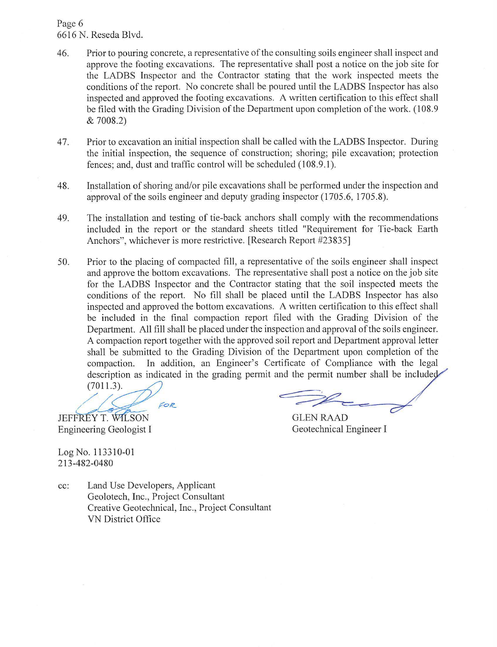## Page 6 6616 N. Reseda Blvd.

- 46. Prior to pouring concrete, a representative of the consulting soils engineer shall inspect and approve the footing excavations. The representative shall post a notice on the job site for the LADBS Inspector and the Contractor stating that the work inspected meets the conditions of the report. No concrete shall be poured until the LADBS Inspector has also inspected and approved the footing excavations. A written certification to this effect shall be filed with the Grading Division of the Department upon completion of the work. (108.9 & 7008.2)
- 47. Prior to excavation an initial inspection shall be called with the LADBS Inspector. During the initial inspection, the sequence of construction; shoring; pile excavation; protection fences: and, dust and traffic control will be scheduled (108.9.1).
- 48. Installation of shoring and/or pile excavations shall be performed under the inspection and approval of the soils engineer and deputy grading inspector (1705.6, 1705.8).
- 49. The installation and testing of tie-back anchors shall comply with the recommendations included in the report or the standard sheets titled "Requirement for Tie-back Earth Anchors", whichever is more restrictive. [Research Report #23835]
- 50. Prior to the placing of compacted fill, a representative of the soils engineer shall inspect and approve the bottom excavations. The representative shall post a notice on the job site for the LADBS Inspector and the Contractor stating that the soil inspected meets the conditions of the report. No fill shall be placed until the LADBS Inspector has also inspected and approved the bottom excavations. A written certification to this effect shall be included in the final compaction report filed with the Grading Division of the Department. All fill shall be placed under the inspection and approval of the soils engineer. A compaction report together with the approved soil report and Department approval letter shall be submitted to the Grading Division of the Department upon completion of the compaction. In addition, an Engineer's Certificate of Compliance with the legal description as indicated in the grading permit and the permit number shall be included

 $(7011.3)$ . FOR

JEFFREY T. WILSON GLEN RAAD Engineering Geologist I

Geotechnical Engineer I

LogNo.113310-01 213-482-0480

cc: Land Use Developers, Applicant Geolotech, Inc., Project Consultant Creative Geotechnical, Inc., Project Consultant VN District Office